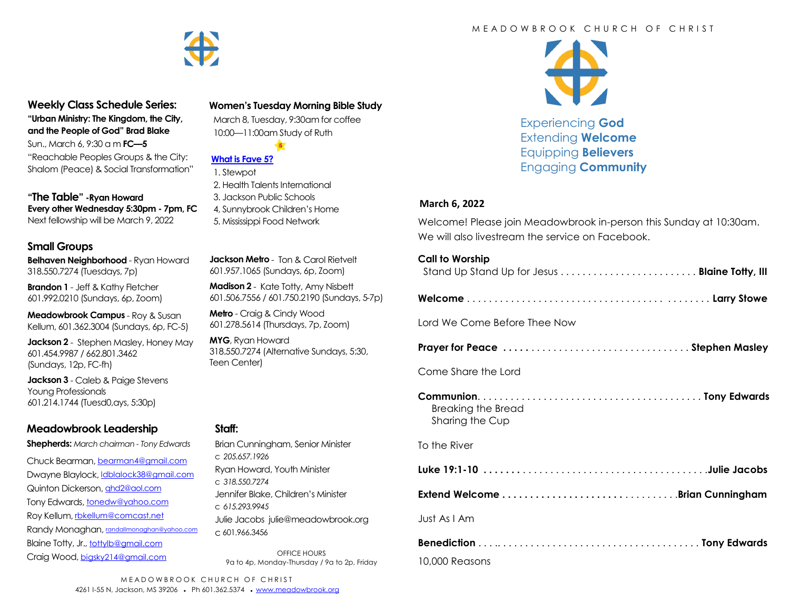

#### **Weekly Class Schedule Series: "Urban Ministry: The Kingdom, the City,**

**and the People of God" Brad Blake** Sun., March 6, 9:30 a m **FC—5** "Reachable Peoples Groups & the City: Shalom (Peace) & Social Transformation"

**"The Table" -Ryan Howard Every other Wednesday 5:30pm - 7pm, FC** Next fellowship will be March 9, 2022

# **Small Groups**

**Belhaven Neighborhood** - Ryan Howard 318.550.7274 (Tuesdays, 7p)

**Brandon 1** - Jeff & Kathy Fletcher 601.992.0210 (Sundays, 6p, Zoom)

**Meadowbrook Campus** - Roy & Susan Kellum, 601.362.3004 (Sundays, 6p, FC-5)

**Jackson 2** - Stephen Masley, Honey May 601.454.9987 / 662.801.3462 (Sundays, 12p, FC-fh)

**Jackson 3** - Caleb & Paige Stevens Young Professionals 601.214.1744 (Tuesd0,ays, 5:30p)

# **Meadowbrook Leadership**

**Shepherds:** *March chairman - Tony Edwards*

Chuck Bearman, [bearman4@gmail.com](mailto:bearman4@gmail.com) Dwayne Blaylock, *dblalock38@gmail.com* Quinton Dickerson, [qhd2@aol.com](mailto:qhd2@aol.com) Tony Edwards, [tonedw@yahoo.com](mailto:tonedw@yahoo.com) Roy Kellum, [rbkellum@comcast.net](mailto:rbkellum@comcast.net) Randy Monaghan, [randallmonaghan@yahoo.com](mailto:randallmonaghan@yahoo.com) Blaine Totty, Jr., [tottylb@gmail.com](mailto:tottylb@gmail.com) Craig Wood, [bigsky214@gmail.com](mailto:bigsky214@gmail.com)

# **Women's Tuesday Morning Bible Study**

 March 8, Tuesday, 9:30am for coffee 10:00—11:00am Study of Ruth

 $\frac{3}{5}$ 



# **[What is Fave 5?](https://meadowbrook.ccbchurch.com/group_detail.php?group_id=131)**

- 1. Stewpot 2. Health Talents International
- 3. Jackson Public Schools
- 4, Sunnybrook Children's Home
- 5. Mississippi Food Network

**Jackson Metro** - Ton & Carol Rietvelt 601.957.1065 (Sundays, 6p, Zoom)

**Madison 2** - Kate Totty, Amy Nisbett 601.506.7556 / 601.750.2190 (Sundays, 5-7p)

**Metro** - Craig & Cindy Wood 601.278.5614 (Thursdays, 7p, Zoom)

**MYG**, Ryan Howard 318.550.7274 (Alternative Sundays, 5:30, Teen Center)

### **Staff:**

Brian Cunningham, Senior Minister c *205.657.1926* Ryan Howard, Youth Minister c *318.550.7274* Jennifer Blake, Children's Minister c *615.293.9945* Julie Jacobs julie@meadowbrook.org c 601.966.3456

OFFICE HOURS 9a to 4p, Monday-Thursday / 9a to 2p, Friday



Experiencing **God** Extending **Welcome** Equipping **Believers** Engaging **Community**

#### **March 6, 2022**

Welcome! Please join Meadowbrook in-person this Sunday at 10:30am. We will also livestream the service on Facebook.

#### **Call to Worship**

| Stand Up Stand Up for Jesus  Blaine Totty, III |
|------------------------------------------------|
|------------------------------------------------|

Lord We Come Before Thee Now

**Prayer for Peace . . . . .** . . . . . . . . . . . . . . . . . . . . . . . . . . . . . **Stephen Masley**

Come Share the Lord

**Communion**. . . . . . . . . . . . . . . . . . . . . . . . . . . . . . . . . . . . . . . . . **Tony Edwards**  Breaking the Bread Sharing the Cup

To the River

**Luke 19:1-10 . . . . . . .** . . . . . . . . . . . . . . . . . . . . . . . . . . . . . . . . . .**Julie Jacobs**

**Extend Welcome . . . . . . . . . . . . . . . . . . . . . .** . . . . . . . . . .**Brian Cunningham**

Just As I Am

| 10,000 Reasons |  |
|----------------|--|

MEADOWBROOK CHURCH OF CHRIST 4261 I-55 N, Jackson, MS 39206 • Ph 601.362.5374 • [www.meadowbrook.org](mailto:www.meadowbrook.org)

# M F A D O W B R O O K C H U R C H O F C H R I S T